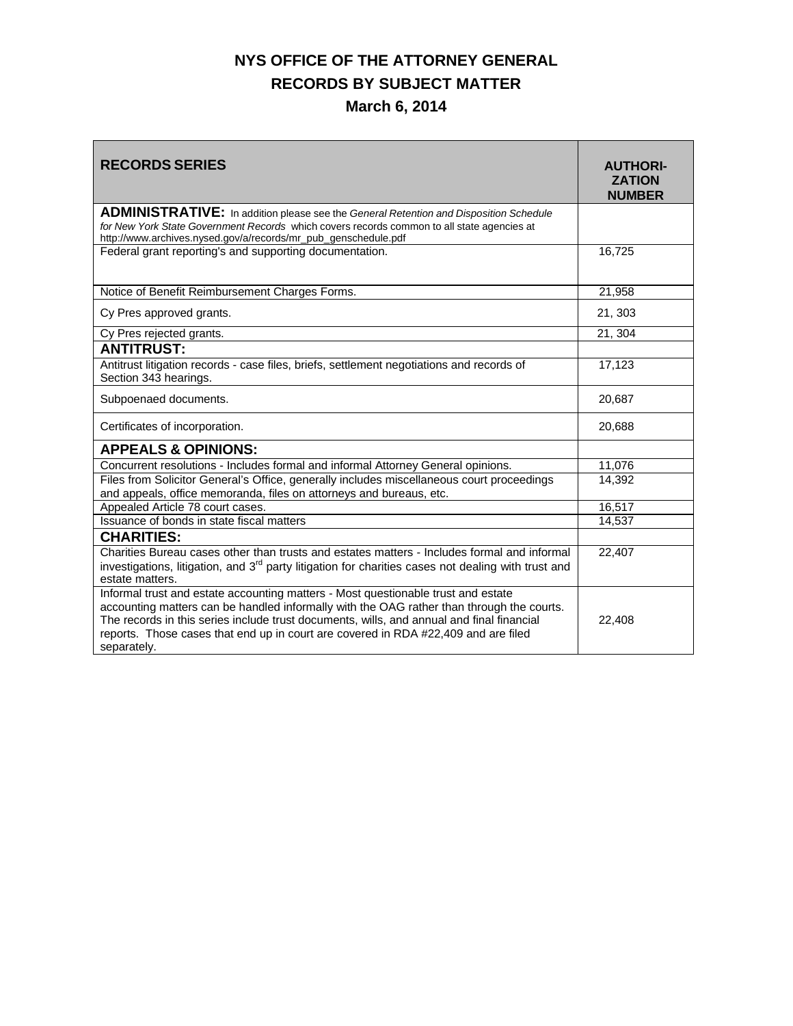## **NYS OFFICE OF THE ATTORNEY GENERAL RECORDS BY SUBJECT MATTER March 6, 2014**

| <b>RECORDS SERIES</b>                                                                                                                                                                                                                                                                                                                                                            | <b>AUTHORI-</b><br><b>ZATION</b><br><b>NUMBER</b> |
|----------------------------------------------------------------------------------------------------------------------------------------------------------------------------------------------------------------------------------------------------------------------------------------------------------------------------------------------------------------------------------|---------------------------------------------------|
| <b>ADMINISTRATIVE:</b> In addition please see the General Retention and Disposition Schedule<br>for New York State Government Records which covers records common to all state agencies at<br>http://www.archives.nysed.gov/a/records/mr_pub_genschedule.pdf                                                                                                                     |                                                   |
| Federal grant reporting's and supporting documentation.                                                                                                                                                                                                                                                                                                                          | 16,725                                            |
| Notice of Benefit Reimbursement Charges Forms.                                                                                                                                                                                                                                                                                                                                   | 21,958                                            |
| Cy Pres approved grants.                                                                                                                                                                                                                                                                                                                                                         | 21, 303                                           |
| Cy Pres rejected grants.                                                                                                                                                                                                                                                                                                                                                         | 21, 304                                           |
| <b>ANTITRUST:</b>                                                                                                                                                                                                                                                                                                                                                                |                                                   |
| Antitrust litigation records - case files, briefs, settlement negotiations and records of<br>Section 343 hearings.                                                                                                                                                                                                                                                               | 17,123                                            |
| Subpoenaed documents.                                                                                                                                                                                                                                                                                                                                                            | 20,687                                            |
| Certificates of incorporation.                                                                                                                                                                                                                                                                                                                                                   | 20,688                                            |
| <b>APPEALS &amp; OPINIONS:</b>                                                                                                                                                                                                                                                                                                                                                   |                                                   |
| Concurrent resolutions - Includes formal and informal Attorney General opinions.                                                                                                                                                                                                                                                                                                 | 11,076                                            |
| Files from Solicitor General's Office, generally includes miscellaneous court proceedings<br>and appeals, office memoranda, files on attorneys and bureaus, etc.                                                                                                                                                                                                                 | 14,392                                            |
| Appealed Article 78 court cases.                                                                                                                                                                                                                                                                                                                                                 | 16,517                                            |
| Issuance of bonds in state fiscal matters                                                                                                                                                                                                                                                                                                                                        | 14,537                                            |
| <b>CHARITIES:</b>                                                                                                                                                                                                                                                                                                                                                                |                                                   |
| Charities Bureau cases other than trusts and estates matters - Includes formal and informal<br>investigations, litigation, and 3 <sup>rd</sup> party litigation for charities cases not dealing with trust and<br>estate matters.                                                                                                                                                | 22,407                                            |
| Informal trust and estate accounting matters - Most questionable trust and estate<br>accounting matters can be handled informally with the OAG rather than through the courts.<br>The records in this series include trust documents, wills, and annual and final financial<br>reports. Those cases that end up in court are covered in RDA #22,409 and are filed<br>separately. | 22,408                                            |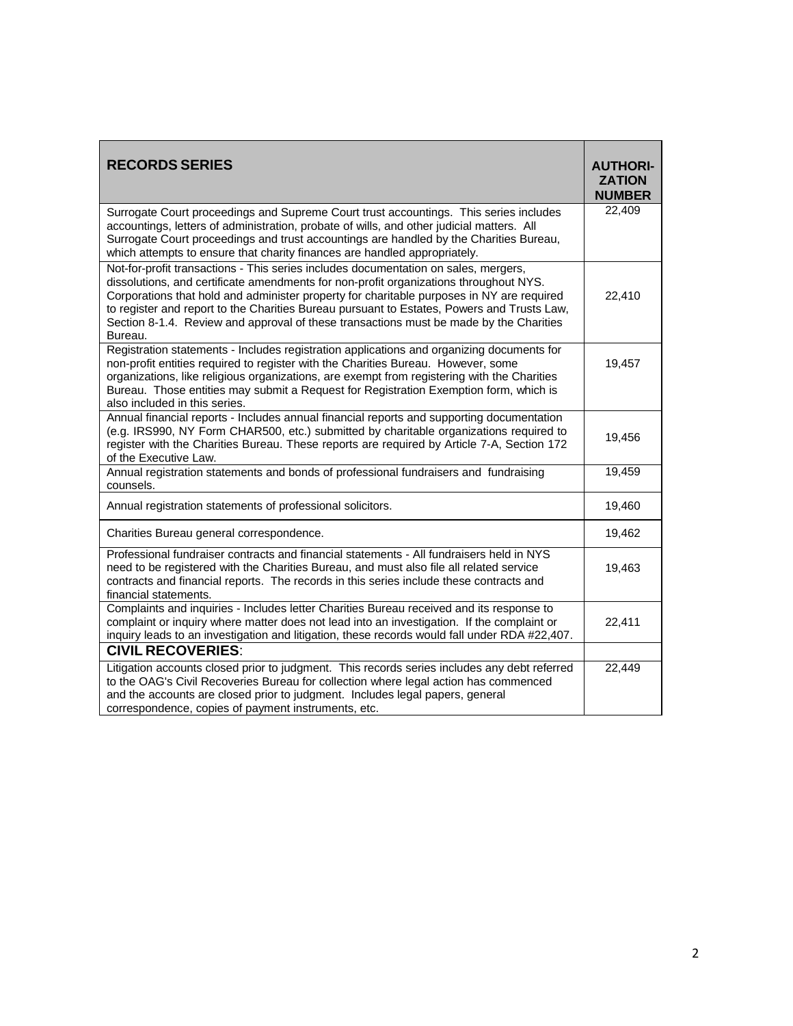| <b>RECORDS SERIES</b>                                                                                                                                                                                                                                                                                                                                                                                                                                                        | <b>AUTHORI-</b><br><b>ZATION</b><br><b>NUMBER</b> |
|------------------------------------------------------------------------------------------------------------------------------------------------------------------------------------------------------------------------------------------------------------------------------------------------------------------------------------------------------------------------------------------------------------------------------------------------------------------------------|---------------------------------------------------|
| Surrogate Court proceedings and Supreme Court trust accountings. This series includes<br>accountings, letters of administration, probate of wills, and other judicial matters. All<br>Surrogate Court proceedings and trust accountings are handled by the Charities Bureau,<br>which attempts to ensure that charity finances are handled appropriately.                                                                                                                    | 22,409                                            |
| Not-for-profit transactions - This series includes documentation on sales, mergers,<br>dissolutions, and certificate amendments for non-profit organizations throughout NYS.<br>Corporations that hold and administer property for charitable purposes in NY are required<br>to register and report to the Charities Bureau pursuant to Estates, Powers and Trusts Law,<br>Section 8-1.4. Review and approval of these transactions must be made by the Charities<br>Bureau. | 22,410                                            |
| Registration statements - Includes registration applications and organizing documents for<br>non-profit entities required to register with the Charities Bureau. However, some<br>organizations, like religious organizations, are exempt from registering with the Charities<br>Bureau. Those entities may submit a Request for Registration Exemption form, which is<br>also included in this series.                                                                      | 19,457                                            |
| Annual financial reports - Includes annual financial reports and supporting documentation<br>(e.g. IRS990, NY Form CHAR500, etc.) submitted by charitable organizations required to<br>register with the Charities Bureau. These reports are required by Article 7-A, Section 172<br>of the Executive Law.                                                                                                                                                                   | 19,456                                            |
| Annual registration statements and bonds of professional fundraisers and fundraising<br>counsels.                                                                                                                                                                                                                                                                                                                                                                            | 19,459                                            |
| Annual registration statements of professional solicitors.                                                                                                                                                                                                                                                                                                                                                                                                                   | 19,460                                            |
| Charities Bureau general correspondence.                                                                                                                                                                                                                                                                                                                                                                                                                                     | 19,462                                            |
| Professional fundraiser contracts and financial statements - All fundraisers held in NYS<br>need to be registered with the Charities Bureau, and must also file all related service<br>contracts and financial reports. The records in this series include these contracts and<br>financial statements.                                                                                                                                                                      | 19,463                                            |
| Complaints and inquiries - Includes letter Charities Bureau received and its response to<br>complaint or inquiry where matter does not lead into an investigation. If the complaint or<br>inquiry leads to an investigation and litigation, these records would fall under RDA #22,407.                                                                                                                                                                                      | 22,411                                            |
| <b>CIVIL RECOVERIES:</b>                                                                                                                                                                                                                                                                                                                                                                                                                                                     |                                                   |
| Litigation accounts closed prior to judgment. This records series includes any debt referred<br>to the OAG's Civil Recoveries Bureau for collection where legal action has commenced<br>and the accounts are closed prior to judgment. Includes legal papers, general<br>correspondence, copies of payment instruments, etc.                                                                                                                                                 | 22,449                                            |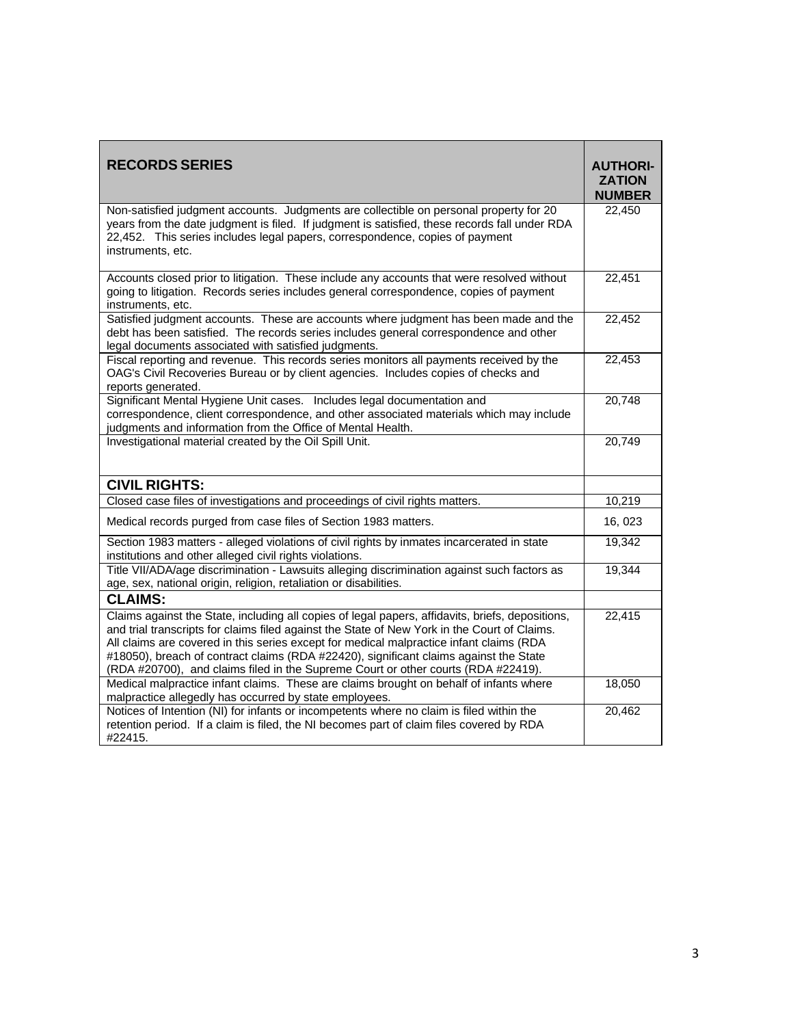| <b>RECORDS SERIES</b>                                                                                                                                                                                                                                                                                                                                                                                                                                                     | <b>AUTHORI-</b><br><b>ZATION</b><br><b>NUMBER</b> |
|---------------------------------------------------------------------------------------------------------------------------------------------------------------------------------------------------------------------------------------------------------------------------------------------------------------------------------------------------------------------------------------------------------------------------------------------------------------------------|---------------------------------------------------|
| Non-satisfied judgment accounts. Judgments are collectible on personal property for 20<br>years from the date judgment is filed. If judgment is satisfied, these records fall under RDA<br>22,452. This series includes legal papers, correspondence, copies of payment<br>instruments, etc.                                                                                                                                                                              | 22,450                                            |
| Accounts closed prior to litigation. These include any accounts that were resolved without<br>going to litigation. Records series includes general correspondence, copies of payment<br>instruments, etc.                                                                                                                                                                                                                                                                 | 22,451                                            |
| Satisfied judgment accounts. These are accounts where judgment has been made and the<br>debt has been satisfied. The records series includes general correspondence and other<br>legal documents associated with satisfied judgments.                                                                                                                                                                                                                                     | 22,452                                            |
| Fiscal reporting and revenue. This records series monitors all payments received by the<br>OAG's Civil Recoveries Bureau or by client agencies. Includes copies of checks and<br>reports generated.                                                                                                                                                                                                                                                                       | 22,453                                            |
| Significant Mental Hygiene Unit cases. Includes legal documentation and<br>correspondence, client correspondence, and other associated materials which may include<br>judgments and information from the Office of Mental Health.                                                                                                                                                                                                                                         | 20,748                                            |
| Investigational material created by the Oil Spill Unit.                                                                                                                                                                                                                                                                                                                                                                                                                   | 20,749                                            |
| <b>CIVIL RIGHTS:</b>                                                                                                                                                                                                                                                                                                                                                                                                                                                      |                                                   |
| Closed case files of investigations and proceedings of civil rights matters.                                                                                                                                                                                                                                                                                                                                                                                              | 10,219                                            |
| Medical records purged from case files of Section 1983 matters.                                                                                                                                                                                                                                                                                                                                                                                                           | 16, 023                                           |
| Section 1983 matters - alleged violations of civil rights by inmates incarcerated in state<br>institutions and other alleged civil rights violations.                                                                                                                                                                                                                                                                                                                     | 19,342                                            |
| Title VII/ADA/age discrimination - Lawsuits alleging discrimination against such factors as<br>age, sex, national origin, religion, retaliation or disabilities.                                                                                                                                                                                                                                                                                                          | 19,344                                            |
| <b>CLAIMS:</b>                                                                                                                                                                                                                                                                                                                                                                                                                                                            |                                                   |
| Claims against the State, including all copies of legal papers, affidavits, briefs, depositions,<br>and trial transcripts for claims filed against the State of New York in the Court of Claims.<br>All claims are covered in this series except for medical malpractice infant claims (RDA<br>#18050), breach of contract claims (RDA #22420), significant claims against the State<br>(RDA #20700), and claims filed in the Supreme Court or other courts (RDA #22419). | 22,415                                            |
| Medical malpractice infant claims. These are claims brought on behalf of infants where<br>malpractice allegedly has occurred by state employees.                                                                                                                                                                                                                                                                                                                          | 18,050                                            |
| Notices of Intention (NI) for infants or incompetents where no claim is filed within the<br>retention period. If a claim is filed, the NI becomes part of claim files covered by RDA<br>#22415.                                                                                                                                                                                                                                                                           | 20,462                                            |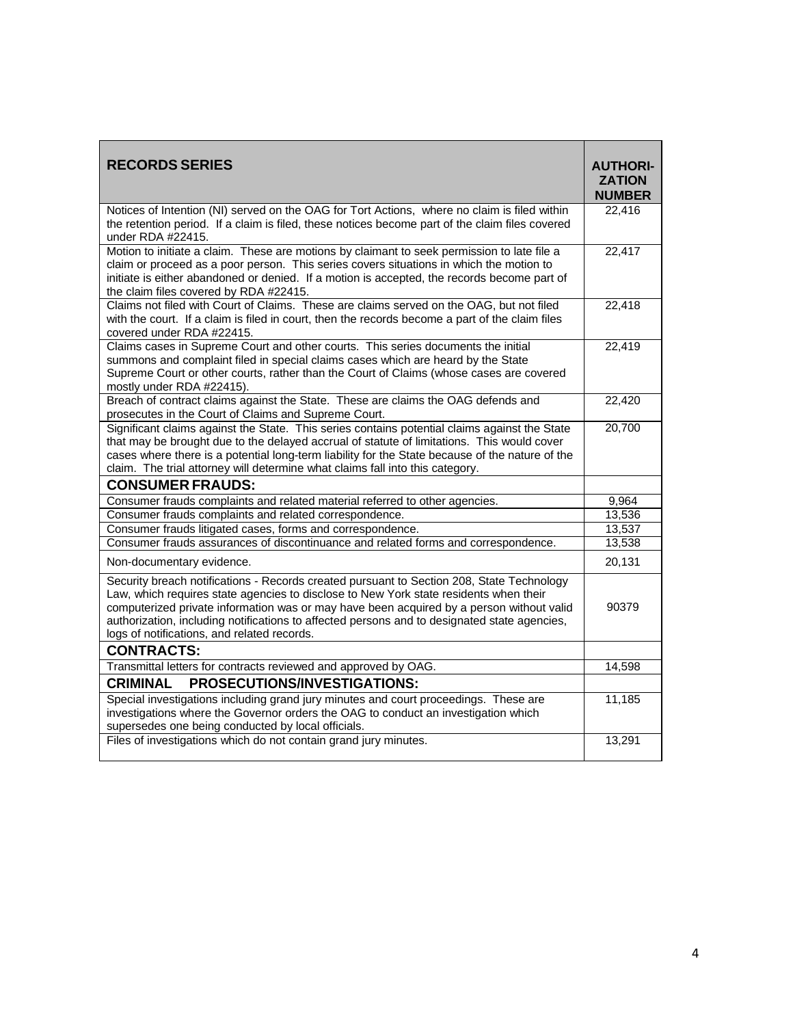| <b>RECORDS SERIES</b>                                                                                                                                                                                                                                                                                                                                                                                                         | <b>AUTHORI-</b><br><b>ZATION</b><br><b>NUMBER</b> |
|-------------------------------------------------------------------------------------------------------------------------------------------------------------------------------------------------------------------------------------------------------------------------------------------------------------------------------------------------------------------------------------------------------------------------------|---------------------------------------------------|
| Notices of Intention (NI) served on the OAG for Tort Actions, where no claim is filed within<br>the retention period. If a claim is filed, these notices become part of the claim files covered<br>under RDA #22415.                                                                                                                                                                                                          | 22,416                                            |
| Motion to initiate a claim. These are motions by claimant to seek permission to late file a<br>claim or proceed as a poor person. This series covers situations in which the motion to<br>initiate is either abandoned or denied. If a motion is accepted, the records become part of<br>the claim files covered by RDA #22415.                                                                                               | 22,417                                            |
| Claims not filed with Court of Claims. These are claims served on the OAG, but not filed<br>with the court. If a claim is filed in court, then the records become a part of the claim files<br>covered under RDA #22415.                                                                                                                                                                                                      | 22,418                                            |
| Claims cases in Supreme Court and other courts. This series documents the initial<br>summons and complaint filed in special claims cases which are heard by the State<br>Supreme Court or other courts, rather than the Court of Claims (whose cases are covered<br>mostly under RDA #22415).                                                                                                                                 | 22,419                                            |
| Breach of contract claims against the State. These are claims the OAG defends and<br>prosecutes in the Court of Claims and Supreme Court.                                                                                                                                                                                                                                                                                     | 22,420                                            |
| Significant claims against the State. This series contains potential claims against the State<br>that may be brought due to the delayed accrual of statute of limitations. This would cover<br>cases where there is a potential long-term liability for the State because of the nature of the<br>claim. The trial attorney will determine what claims fall into this category.                                               | 20,700                                            |
| <b>CONSUMER FRAUDS:</b>                                                                                                                                                                                                                                                                                                                                                                                                       |                                                   |
| Consumer frauds complaints and related material referred to other agencies.                                                                                                                                                                                                                                                                                                                                                   | 9,964                                             |
| Consumer frauds complaints and related correspondence.                                                                                                                                                                                                                                                                                                                                                                        | 13,536                                            |
| Consumer frauds litigated cases, forms and correspondence.                                                                                                                                                                                                                                                                                                                                                                    | 13,537                                            |
| Consumer frauds assurances of discontinuance and related forms and correspondence.                                                                                                                                                                                                                                                                                                                                            | 13,538                                            |
| Non-documentary evidence.                                                                                                                                                                                                                                                                                                                                                                                                     | 20,131                                            |
| Security breach notifications - Records created pursuant to Section 208, State Technology<br>Law, which requires state agencies to disclose to New York state residents when their<br>computerized private information was or may have been acquired by a person without valid<br>authorization, including notifications to affected persons and to designated state agencies,<br>logs of notifications, and related records. | 90379                                             |
| <b>CONTRACTS:</b>                                                                                                                                                                                                                                                                                                                                                                                                             |                                                   |
| Transmittal letters for contracts reviewed and approved by OAG.                                                                                                                                                                                                                                                                                                                                                               | 14,598                                            |
| PROSECUTIONS/INVESTIGATIONS:<br><b>CRIMINAL</b>                                                                                                                                                                                                                                                                                                                                                                               |                                                   |
| Special investigations including grand jury minutes and court proceedings. These are<br>investigations where the Governor orders the OAG to conduct an investigation which<br>supersedes one being conducted by local officials.                                                                                                                                                                                              | 11,185                                            |
| Files of investigations which do not contain grand jury minutes.                                                                                                                                                                                                                                                                                                                                                              | 13,291                                            |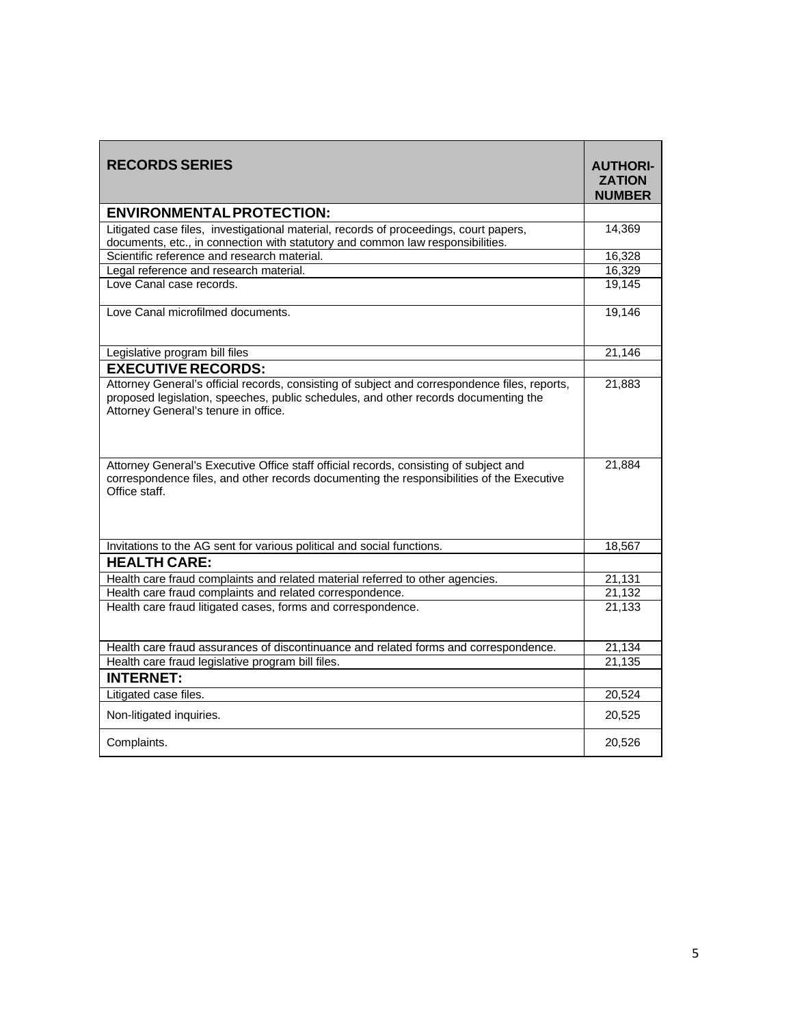| <b>RECORDS SERIES</b>                                                                                                                                                                                                        | <b>AUTHORI-</b><br><b>ZATION</b><br><b>NUMBER</b> |
|------------------------------------------------------------------------------------------------------------------------------------------------------------------------------------------------------------------------------|---------------------------------------------------|
| <b>ENVIRONMENTAL PROTECTION:</b>                                                                                                                                                                                             |                                                   |
| Litigated case files, investigational material, records of proceedings, court papers,<br>documents, etc., in connection with statutory and common law responsibilities.                                                      | 14,369                                            |
| Scientific reference and research material.                                                                                                                                                                                  | 16,328                                            |
| Legal reference and research material.                                                                                                                                                                                       | 16,329                                            |
| Love Canal case records.                                                                                                                                                                                                     | 19,145                                            |
| Love Canal microfilmed documents.                                                                                                                                                                                            | 19,146                                            |
| Legislative program bill files                                                                                                                                                                                               | 21,146                                            |
| <b>EXECUTIVE RECORDS:</b>                                                                                                                                                                                                    |                                                   |
| Attorney General's official records, consisting of subject and correspondence files, reports,<br>proposed legislation, speeches, public schedules, and other records documenting the<br>Attorney General's tenure in office. | 21,883                                            |
| Attorney General's Executive Office staff official records, consisting of subject and<br>correspondence files, and other records documenting the responsibilities of the Executive<br>Office staff.                          | 21,884                                            |
| Invitations to the AG sent for various political and social functions.                                                                                                                                                       | 18,567                                            |
| <b>HEALTH CARE:</b>                                                                                                                                                                                                          |                                                   |
| Health care fraud complaints and related material referred to other agencies.                                                                                                                                                | 21,131                                            |
| Health care fraud complaints and related correspondence.                                                                                                                                                                     | 21,132                                            |
| Health care fraud litigated cases, forms and correspondence.                                                                                                                                                                 | 21,133                                            |
| Health care fraud assurances of discontinuance and related forms and correspondence.                                                                                                                                         | 21,134                                            |
| Health care fraud legislative program bill files.                                                                                                                                                                            | 21,135                                            |
| <b>INTERNET:</b>                                                                                                                                                                                                             |                                                   |
| Litigated case files.                                                                                                                                                                                                        | 20,524                                            |
| Non-litigated inquiries.                                                                                                                                                                                                     | 20,525                                            |
| Complaints.                                                                                                                                                                                                                  | 20,526                                            |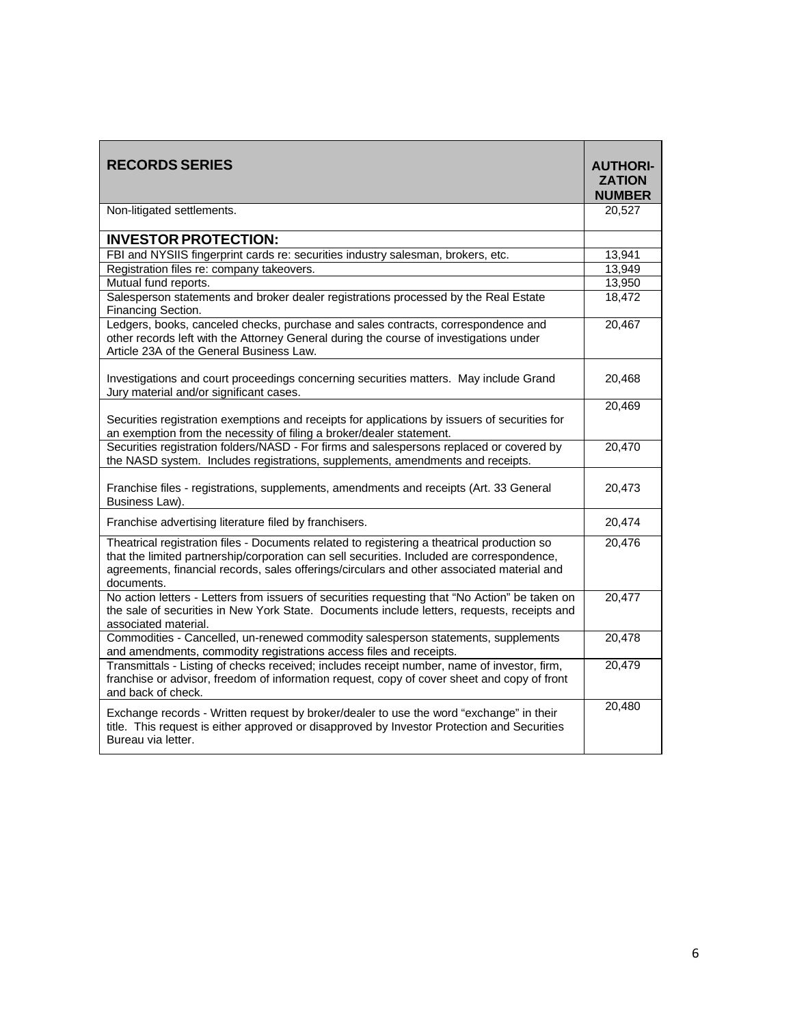| <b>RECORDS SERIES</b>                                                                                                                                                                                                                                                                                 | <b>AUTHORI-</b><br><b>ZATION</b><br><b>NUMBER</b> |
|-------------------------------------------------------------------------------------------------------------------------------------------------------------------------------------------------------------------------------------------------------------------------------------------------------|---------------------------------------------------|
| Non-litigated settlements.                                                                                                                                                                                                                                                                            | 20,527                                            |
| <b>INVESTOR PROTECTION:</b>                                                                                                                                                                                                                                                                           |                                                   |
| FBI and NYSIIS fingerprint cards re: securities industry salesman, brokers, etc.                                                                                                                                                                                                                      | 13,941                                            |
| Registration files re: company takeovers.                                                                                                                                                                                                                                                             | 13,949                                            |
| Mutual fund reports.                                                                                                                                                                                                                                                                                  | 13,950                                            |
| Salesperson statements and broker dealer registrations processed by the Real Estate<br>Financing Section.                                                                                                                                                                                             | 18,472                                            |
| Ledgers, books, canceled checks, purchase and sales contracts, correspondence and<br>other records left with the Attorney General during the course of investigations under<br>Article 23A of the General Business Law.                                                                               | 20,467                                            |
| Investigations and court proceedings concerning securities matters. May include Grand<br>Jury material and/or significant cases.                                                                                                                                                                      | 20,468                                            |
| Securities registration exemptions and receipts for applications by issuers of securities for<br>an exemption from the necessity of filing a broker/dealer statement.                                                                                                                                 | 20,469                                            |
| Securities registration folders/NASD - For firms and salespersons replaced or covered by<br>the NASD system. Includes registrations, supplements, amendments and receipts.                                                                                                                            | 20,470                                            |
| Franchise files - registrations, supplements, amendments and receipts (Art. 33 General<br>Business Law).                                                                                                                                                                                              | 20,473                                            |
| Franchise advertising literature filed by franchisers.                                                                                                                                                                                                                                                | 20,474                                            |
| Theatrical registration files - Documents related to registering a theatrical production so<br>that the limited partnership/corporation can sell securities. Included are correspondence,<br>agreements, financial records, sales offerings/circulars and other associated material and<br>documents. | 20,476                                            |
| No action letters - Letters from issuers of securities requesting that "No Action" be taken on<br>the sale of securities in New York State. Documents include letters, requests, receipts and<br>associated material.                                                                                 | 20,477                                            |
| Commodities - Cancelled, un-renewed commodity salesperson statements, supplements<br>and amendments, commodity registrations access files and receipts.                                                                                                                                               | 20,478                                            |
| Transmittals - Listing of checks received; includes receipt number, name of investor, firm,<br>franchise or advisor, freedom of information request, copy of cover sheet and copy of front<br>and back of check.                                                                                      | 20,479                                            |
| Exchange records - Written request by broker/dealer to use the word "exchange" in their<br>title. This request is either approved or disapproved by Investor Protection and Securities<br>Bureau via letter.                                                                                          | 20,480                                            |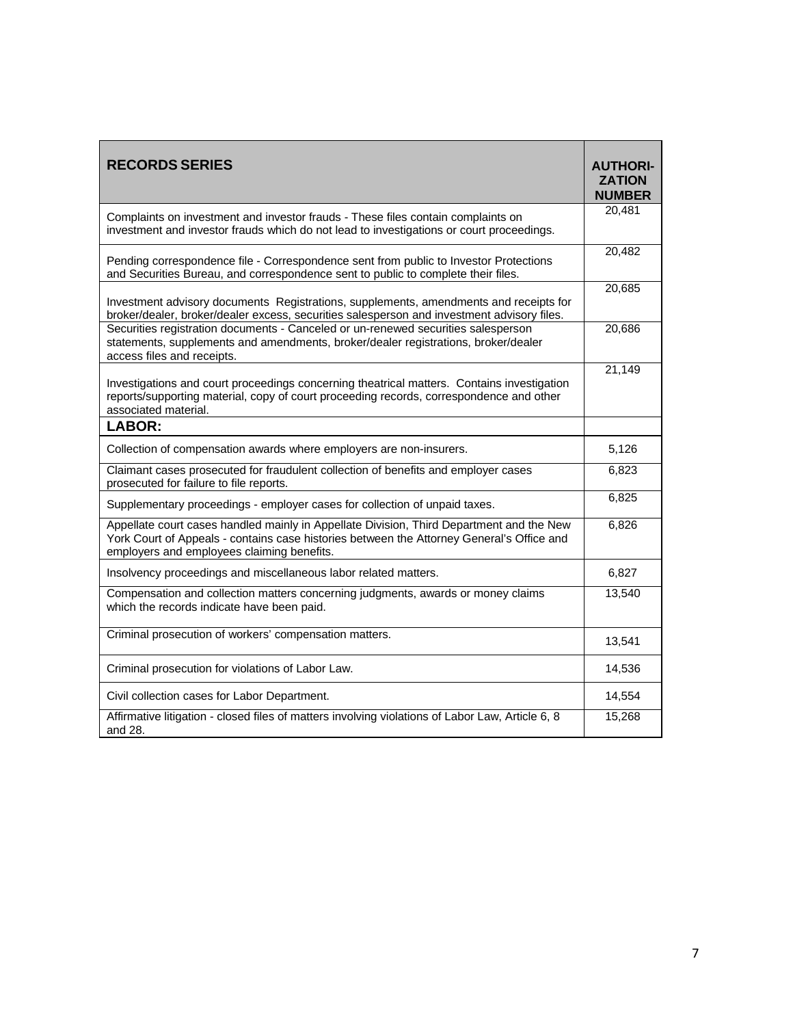| <b>RECORDS SERIES</b>                                                                                                                                                                                                               | <b>AUTHORI-</b><br><b>ZATION</b><br><b>NUMBER</b> |
|-------------------------------------------------------------------------------------------------------------------------------------------------------------------------------------------------------------------------------------|---------------------------------------------------|
| Complaints on investment and investor frauds - These files contain complaints on<br>investment and investor frauds which do not lead to investigations or court proceedings.                                                        | 20,481                                            |
| Pending correspondence file - Correspondence sent from public to Investor Protections<br>and Securities Bureau, and correspondence sent to public to complete their files.                                                          | 20,482                                            |
| Investment advisory documents Registrations, supplements, amendments and receipts for<br>broker/dealer, broker/dealer excess, securities salesperson and investment advisory files.                                                 | 20,685                                            |
| Securities registration documents - Canceled or un-renewed securities salesperson<br>statements, supplements and amendments, broker/dealer registrations, broker/dealer<br>access files and receipts.                               | 20,686                                            |
| Investigations and court proceedings concerning theatrical matters. Contains investigation<br>reports/supporting material, copy of court proceeding records, correspondence and other<br>associated material.                       | 21,149                                            |
| <b>LABOR:</b>                                                                                                                                                                                                                       |                                                   |
| Collection of compensation awards where employers are non-insurers.                                                                                                                                                                 | 5,126                                             |
| Claimant cases prosecuted for fraudulent collection of benefits and employer cases<br>prosecuted for failure to file reports.                                                                                                       | 6,823                                             |
| Supplementary proceedings - employer cases for collection of unpaid taxes.                                                                                                                                                          | 6,825                                             |
| Appellate court cases handled mainly in Appellate Division, Third Department and the New<br>York Court of Appeals - contains case histories between the Attorney General's Office and<br>employers and employees claiming benefits. | 6,826                                             |
| Insolvency proceedings and miscellaneous labor related matters.                                                                                                                                                                     | 6,827                                             |
| Compensation and collection matters concerning judgments, awards or money claims<br>which the records indicate have been paid.                                                                                                      | 13,540                                            |
| Criminal prosecution of workers' compensation matters.                                                                                                                                                                              | 13,541                                            |
| Criminal prosecution for violations of Labor Law.                                                                                                                                                                                   | 14,536                                            |
| Civil collection cases for Labor Department.                                                                                                                                                                                        | 14,554                                            |
| Affirmative litigation - closed files of matters involving violations of Labor Law, Article 6, 8<br>and 28.                                                                                                                         | 15,268                                            |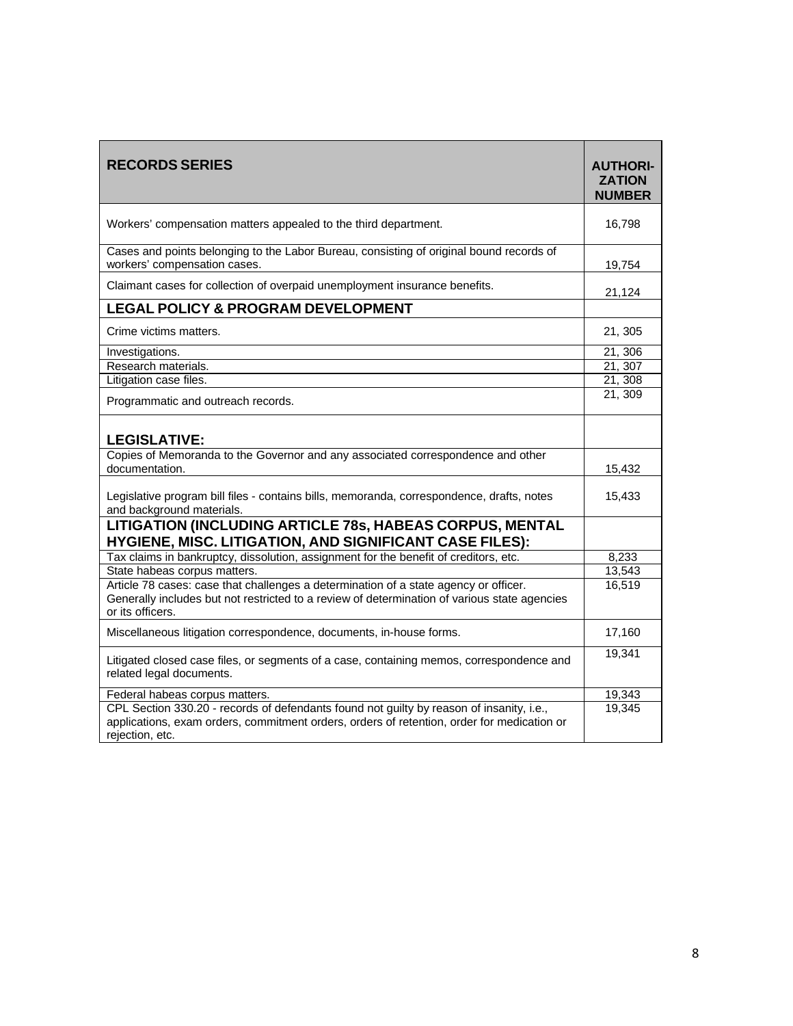| <b>RECORDS SERIES</b>                                                                                                                                                                                     | <b>AUTHORI-</b><br><b>ZATION</b><br><b>NUMBER</b> |
|-----------------------------------------------------------------------------------------------------------------------------------------------------------------------------------------------------------|---------------------------------------------------|
| Workers' compensation matters appealed to the third department.                                                                                                                                           | 16,798                                            |
| Cases and points belonging to the Labor Bureau, consisting of original bound records of<br>workers' compensation cases.                                                                                   | 19,754                                            |
| Claimant cases for collection of overpaid unemployment insurance benefits.                                                                                                                                | 21,124                                            |
| <b>LEGAL POLICY &amp; PROGRAM DEVELOPMENT</b>                                                                                                                                                             |                                                   |
| Crime victims matters.                                                                                                                                                                                    | 21, 305                                           |
| Investigations.                                                                                                                                                                                           | 21, 306                                           |
| Research materials.                                                                                                                                                                                       | 21, 307                                           |
| Litigation case files.                                                                                                                                                                                    | 21, 308                                           |
| Programmatic and outreach records.                                                                                                                                                                        | 21, 309                                           |
| <b>LEGISLATIVE:</b>                                                                                                                                                                                       |                                                   |
| Copies of Memoranda to the Governor and any associated correspondence and other<br>documentation.                                                                                                         | 15,432                                            |
| Legislative program bill files - contains bills, memoranda, correspondence, drafts, notes<br>and background materials.                                                                                    | 15,433                                            |
| LITIGATION (INCLUDING ARTICLE 78s, HABEAS CORPUS, MENTAL<br>HYGIENE, MISC. LITIGATION, AND SIGNIFICANT CASE FILES):                                                                                       |                                                   |
| Tax claims in bankruptcy, dissolution, assignment for the benefit of creditors, etc.                                                                                                                      | 8,233                                             |
| State habeas corpus matters.                                                                                                                                                                              | 13,543                                            |
| Article 78 cases: case that challenges a determination of a state agency or officer.<br>Generally includes but not restricted to a review of determination of various state agencies<br>or its officers.  | 16,519                                            |
| Miscellaneous litigation correspondence, documents, in-house forms.                                                                                                                                       | 17,160                                            |
| Litigated closed case files, or segments of a case, containing memos, correspondence and<br>related legal documents.                                                                                      | 19,341                                            |
| Federal habeas corpus matters.                                                                                                                                                                            | 19,343                                            |
| CPL Section 330.20 - records of defendants found not guilty by reason of insanity, i.e.,<br>applications, exam orders, commitment orders, orders of retention, order for medication or<br>rejection, etc. | 19,345                                            |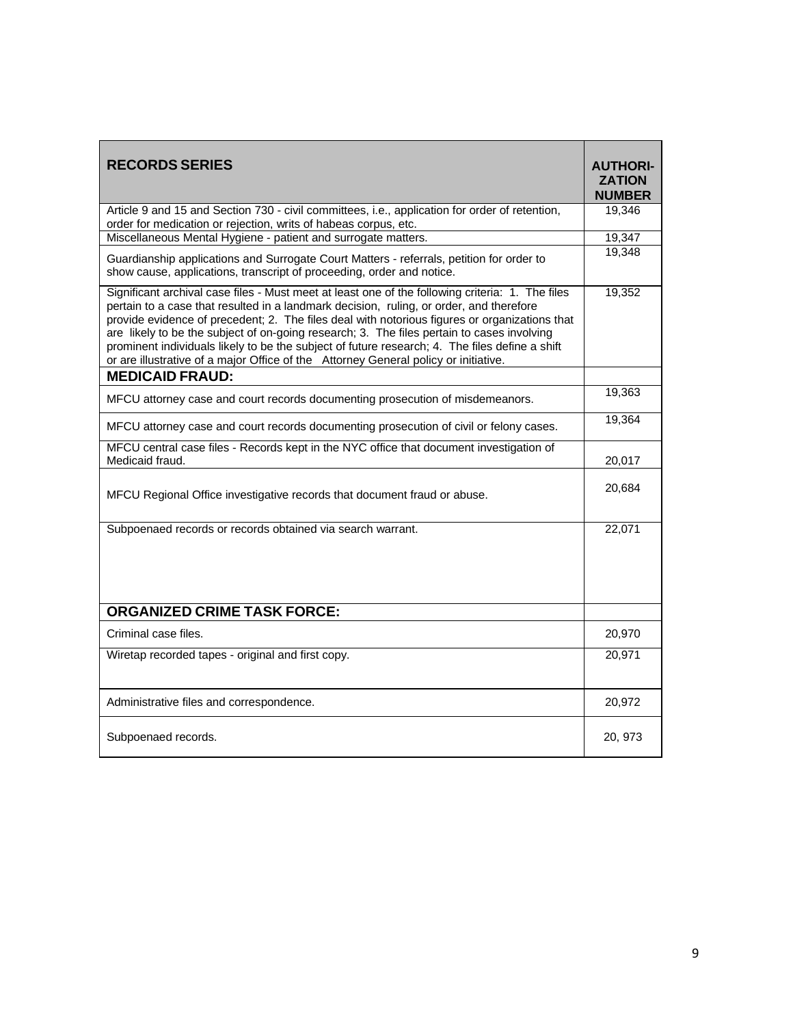| <b>RECORDS SERIES</b>                                                                                                                                                                                                                                                                                                                                                                                                                                                                                                                                                               | <b>AUTHORI-</b><br><b>ZATION</b><br><b>NUMBER</b> |
|-------------------------------------------------------------------------------------------------------------------------------------------------------------------------------------------------------------------------------------------------------------------------------------------------------------------------------------------------------------------------------------------------------------------------------------------------------------------------------------------------------------------------------------------------------------------------------------|---------------------------------------------------|
| Article 9 and 15 and Section 730 - civil committees, i.e., application for order of retention,<br>order for medication or rejection, writs of habeas corpus, etc.                                                                                                                                                                                                                                                                                                                                                                                                                   | 19,346                                            |
| Miscellaneous Mental Hygiene - patient and surrogate matters.                                                                                                                                                                                                                                                                                                                                                                                                                                                                                                                       | 19,347                                            |
| Guardianship applications and Surrogate Court Matters - referrals, petition for order to<br>show cause, applications, transcript of proceeding, order and notice.                                                                                                                                                                                                                                                                                                                                                                                                                   | 19,348                                            |
| Significant archival case files - Must meet at least one of the following criteria: 1. The files<br>pertain to a case that resulted in a landmark decision, ruling, or order, and therefore<br>provide evidence of precedent; 2. The files deal with notorious figures or organizations that<br>are likely to be the subject of on-going research; 3. The files pertain to cases involving<br>prominent individuals likely to be the subject of future research; 4. The files define a shift<br>or are illustrative of a major Office of the Attorney General policy or initiative. | 19,352                                            |
| <b>MEDICAID FRAUD:</b>                                                                                                                                                                                                                                                                                                                                                                                                                                                                                                                                                              |                                                   |
| MFCU attorney case and court records documenting prosecution of misdemeanors.                                                                                                                                                                                                                                                                                                                                                                                                                                                                                                       | 19,363                                            |
| MFCU attorney case and court records documenting prosecution of civil or felony cases.                                                                                                                                                                                                                                                                                                                                                                                                                                                                                              | 19,364                                            |
| MFCU central case files - Records kept in the NYC office that document investigation of<br>Medicaid fraud.                                                                                                                                                                                                                                                                                                                                                                                                                                                                          | 20,017                                            |
| MFCU Regional Office investigative records that document fraud or abuse.                                                                                                                                                                                                                                                                                                                                                                                                                                                                                                            | 20,684                                            |
| Subpoenaed records or records obtained via search warrant.                                                                                                                                                                                                                                                                                                                                                                                                                                                                                                                          | 22,071                                            |
| <b>ORGANIZED CRIME TASK FORCE:</b>                                                                                                                                                                                                                                                                                                                                                                                                                                                                                                                                                  |                                                   |
| Criminal case files.                                                                                                                                                                                                                                                                                                                                                                                                                                                                                                                                                                | 20,970                                            |
| Wiretap recorded tapes - original and first copy.                                                                                                                                                                                                                                                                                                                                                                                                                                                                                                                                   | 20,971                                            |
| Administrative files and correspondence.                                                                                                                                                                                                                                                                                                                                                                                                                                                                                                                                            | 20,972                                            |
| Subpoenaed records.                                                                                                                                                                                                                                                                                                                                                                                                                                                                                                                                                                 | 20, 973                                           |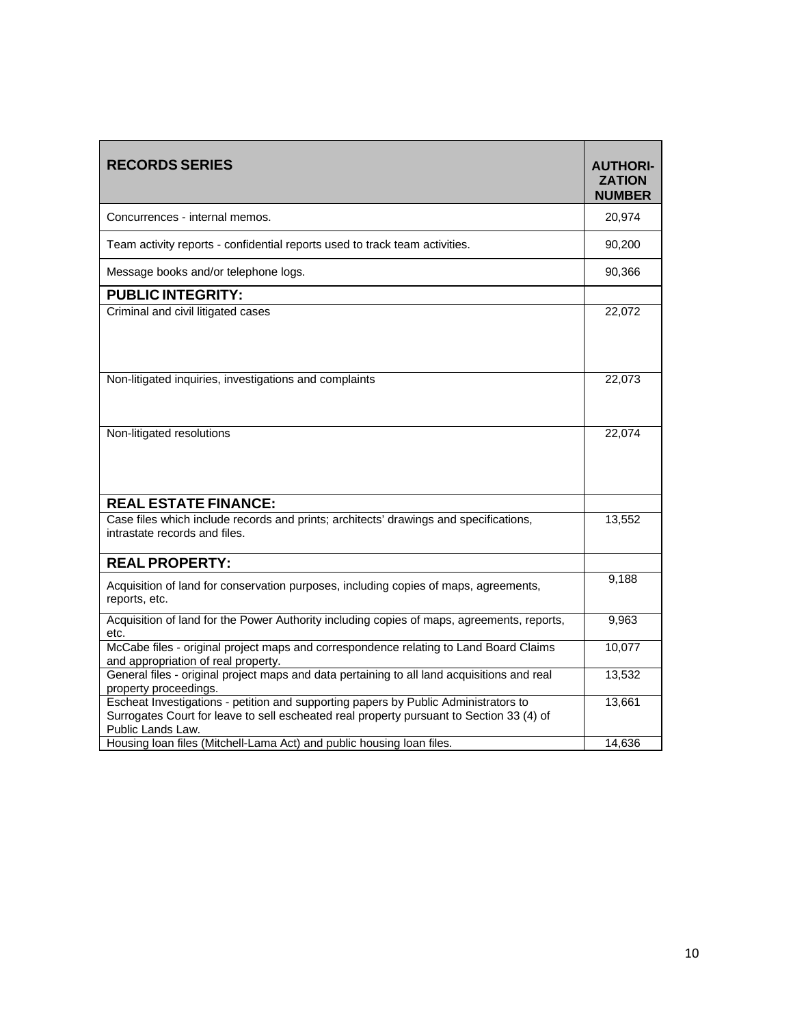| <b>RECORDS SERIES</b>                                                                                                                                                                                | <b>AUTHORI-</b><br><b>ZATION</b><br><b>NUMBER</b> |
|------------------------------------------------------------------------------------------------------------------------------------------------------------------------------------------------------|---------------------------------------------------|
| Concurrences - internal memos.                                                                                                                                                                       | 20,974                                            |
| Team activity reports - confidential reports used to track team activities.                                                                                                                          | 90,200                                            |
| Message books and/or telephone logs.                                                                                                                                                                 | 90,366                                            |
| <b>PUBLIC INTEGRITY:</b>                                                                                                                                                                             |                                                   |
| Criminal and civil litigated cases                                                                                                                                                                   | 22,072                                            |
| Non-litigated inquiries, investigations and complaints                                                                                                                                               | 22,073                                            |
| Non-litigated resolutions                                                                                                                                                                            | 22,074                                            |
| <b>REAL ESTATE FINANCE:</b>                                                                                                                                                                          |                                                   |
| Case files which include records and prints; architects' drawings and specifications,<br>intrastate records and files.                                                                               | 13,552                                            |
| <b>REAL PROPERTY:</b>                                                                                                                                                                                |                                                   |
| Acquisition of land for conservation purposes, including copies of maps, agreements,<br>reports, etc.                                                                                                | 9,188                                             |
| Acquisition of land for the Power Authority including copies of maps, agreements, reports,<br>etc.                                                                                                   | 9,963                                             |
| McCabe files - original project maps and correspondence relating to Land Board Claims<br>and appropriation of real property.                                                                         | 10,077                                            |
| General files - original project maps and data pertaining to all land acquisitions and real<br>property proceedings.                                                                                 | 13,532                                            |
| Escheat Investigations - petition and supporting papers by Public Administrators to<br>Surrogates Court for leave to sell escheated real property pursuant to Section 33 (4) of<br>Public Lands Law. | 13,661                                            |
| Housing loan files (Mitchell-Lama Act) and public housing loan files.                                                                                                                                | 14,636                                            |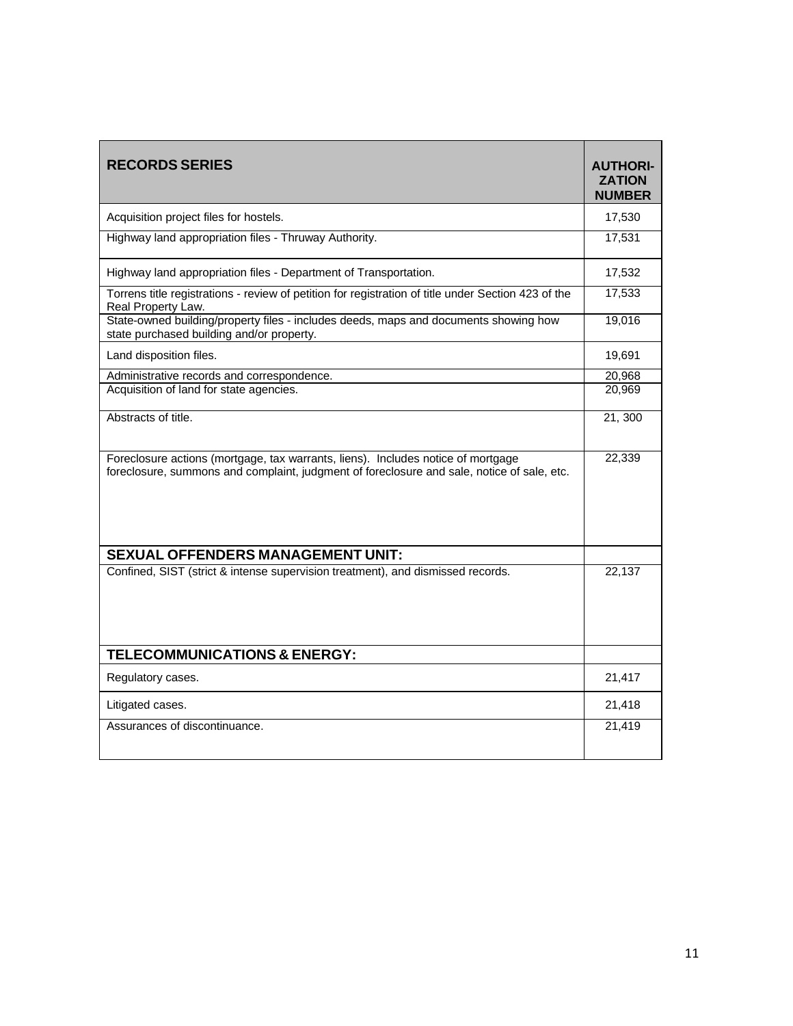| <b>RECORDS SERIES</b>                                                                                                                                                          | <b>AUTHORI-</b><br><b>ZATION</b><br><b>NUMBER</b> |
|--------------------------------------------------------------------------------------------------------------------------------------------------------------------------------|---------------------------------------------------|
| Acquisition project files for hostels.                                                                                                                                         | 17,530                                            |
| Highway land appropriation files - Thruway Authority.                                                                                                                          | 17,531                                            |
| Highway land appropriation files - Department of Transportation.                                                                                                               | 17,532                                            |
| Torrens title registrations - review of petition for registration of title under Section 423 of the<br>Real Property Law.                                                      | 17,533                                            |
| State-owned building/property files - includes deeds, maps and documents showing how<br>state purchased building and/or property.                                              | 19,016                                            |
| Land disposition files.                                                                                                                                                        | 19,691                                            |
| Administrative records and correspondence.                                                                                                                                     | 20,968                                            |
| Acquisition of land for state agencies.                                                                                                                                        | 20,969                                            |
| Abstracts of title.                                                                                                                                                            | 21, 300                                           |
| Foreclosure actions (mortgage, tax warrants, liens). Includes notice of mortgage<br>foreclosure, summons and complaint, judgment of foreclosure and sale, notice of sale, etc. | 22,339                                            |
| SEXUAL OFFENDERS MANAGEMENT UNIT:                                                                                                                                              |                                                   |
| Confined, SIST (strict & intense supervision treatment), and dismissed records.                                                                                                | 22,137                                            |
| <b>TELECOMMUNICATIONS &amp; ENERGY:</b>                                                                                                                                        |                                                   |
| Regulatory cases.                                                                                                                                                              | 21,417                                            |
| Litigated cases.                                                                                                                                                               | 21,418                                            |
| Assurances of discontinuance.                                                                                                                                                  | 21,419                                            |